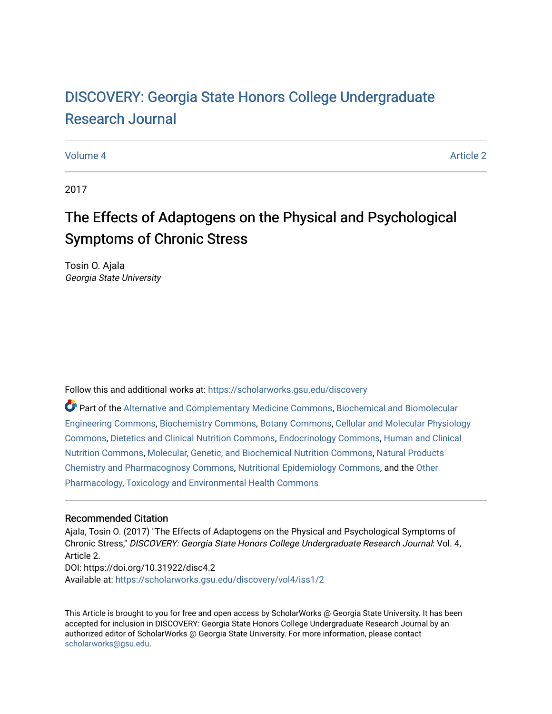# DISCOVERY: Georgia State Honors College Undergraduate [Research Journal](https://scholarworks.gsu.edu/discovery)

#### [Volume 4](https://scholarworks.gsu.edu/discovery/vol4) Article 2

2017

# The Effects of Adaptogens on the Physical and Psychological Symptoms of Chronic Stress

Tosin O. Ajala Georgia State University

Follow this and additional works at: [https://scholarworks.gsu.edu/discovery](https://scholarworks.gsu.edu/discovery?utm_source=scholarworks.gsu.edu%2Fdiscovery%2Fvol4%2Fiss1%2F2&utm_medium=PDF&utm_campaign=PDFCoverPages) 

Part of the [Alternative and Complementary Medicine Commons,](http://network.bepress.com/hgg/discipline/649?utm_source=scholarworks.gsu.edu%2Fdiscovery%2Fvol4%2Fiss1%2F2&utm_medium=PDF&utm_campaign=PDFCoverPages) [Biochemical and Biomolecular](http://network.bepress.com/hgg/discipline/241?utm_source=scholarworks.gsu.edu%2Fdiscovery%2Fvol4%2Fiss1%2F2&utm_medium=PDF&utm_campaign=PDFCoverPages) [Engineering Commons,](http://network.bepress.com/hgg/discipline/241?utm_source=scholarworks.gsu.edu%2Fdiscovery%2Fvol4%2Fiss1%2F2&utm_medium=PDF&utm_campaign=PDFCoverPages) [Biochemistry Commons](http://network.bepress.com/hgg/discipline/2?utm_source=scholarworks.gsu.edu%2Fdiscovery%2Fvol4%2Fiss1%2F2&utm_medium=PDF&utm_campaign=PDFCoverPages), [Botany Commons](http://network.bepress.com/hgg/discipline/104?utm_source=scholarworks.gsu.edu%2Fdiscovery%2Fvol4%2Fiss1%2F2&utm_medium=PDF&utm_campaign=PDFCoverPages), [Cellular and Molecular Physiology](http://network.bepress.com/hgg/discipline/70?utm_source=scholarworks.gsu.edu%2Fdiscovery%2Fvol4%2Fiss1%2F2&utm_medium=PDF&utm_campaign=PDFCoverPages) [Commons](http://network.bepress.com/hgg/discipline/70?utm_source=scholarworks.gsu.edu%2Fdiscovery%2Fvol4%2Fiss1%2F2&utm_medium=PDF&utm_campaign=PDFCoverPages), [Dietetics and Clinical Nutrition Commons](http://network.bepress.com/hgg/discipline/662?utm_source=scholarworks.gsu.edu%2Fdiscovery%2Fvol4%2Fiss1%2F2&utm_medium=PDF&utm_campaign=PDFCoverPages), [Endocrinology Commons](http://network.bepress.com/hgg/discipline/72?utm_source=scholarworks.gsu.edu%2Fdiscovery%2Fvol4%2Fiss1%2F2&utm_medium=PDF&utm_campaign=PDFCoverPages), [Human and Clinical](http://network.bepress.com/hgg/discipline/97?utm_source=scholarworks.gsu.edu%2Fdiscovery%2Fvol4%2Fiss1%2F2&utm_medium=PDF&utm_campaign=PDFCoverPages) [Nutrition Commons](http://network.bepress.com/hgg/discipline/97?utm_source=scholarworks.gsu.edu%2Fdiscovery%2Fvol4%2Fiss1%2F2&utm_medium=PDF&utm_campaign=PDFCoverPages), [Molecular, Genetic, and Biochemical Nutrition Commons](http://network.bepress.com/hgg/discipline/99?utm_source=scholarworks.gsu.edu%2Fdiscovery%2Fvol4%2Fiss1%2F2&utm_medium=PDF&utm_campaign=PDFCoverPages), [Natural Products](http://network.bepress.com/hgg/discipline/735?utm_source=scholarworks.gsu.edu%2Fdiscovery%2Fvol4%2Fiss1%2F2&utm_medium=PDF&utm_campaign=PDFCoverPages)  [Chemistry and Pharmacognosy Commons,](http://network.bepress.com/hgg/discipline/735?utm_source=scholarworks.gsu.edu%2Fdiscovery%2Fvol4%2Fiss1%2F2&utm_medium=PDF&utm_campaign=PDFCoverPages) [Nutritional Epidemiology Commons,](http://network.bepress.com/hgg/discipline/100?utm_source=scholarworks.gsu.edu%2Fdiscovery%2Fvol4%2Fiss1%2F2&utm_medium=PDF&utm_campaign=PDFCoverPages) and the [Other](http://network.bepress.com/hgg/discipline/68?utm_source=scholarworks.gsu.edu%2Fdiscovery%2Fvol4%2Fiss1%2F2&utm_medium=PDF&utm_campaign=PDFCoverPages) [Pharmacology, Toxicology and Environmental Health Commons](http://network.bepress.com/hgg/discipline/68?utm_source=scholarworks.gsu.edu%2Fdiscovery%2Fvol4%2Fiss1%2F2&utm_medium=PDF&utm_campaign=PDFCoverPages)

#### Recommended Citation

Ajala, Tosin O. (2017) "The Effects of Adaptogens on the Physical and Psychological Symptoms of Chronic Stress," DISCOVERY: Georgia State Honors College Undergraduate Research Journal: Vol. 4, Article 2. DOI: https://doi.org/10.31922/disc4.2 Available at: [https://scholarworks.gsu.edu/discovery/vol4/iss1/2](https://scholarworks.gsu.edu/discovery/vol4/iss1/2?utm_source=scholarworks.gsu.edu%2Fdiscovery%2Fvol4%2Fiss1%2F2&utm_medium=PDF&utm_campaign=PDFCoverPages) 

This Article is brought to you for free and open access by ScholarWorks @ Georgia State University. It has been accepted for inclusion in DISCOVERY: Georgia State Honors College Undergraduate Research Journal by an authorized editor of ScholarWorks @ Georgia State University. For more information, please contact [scholarworks@gsu.edu.](mailto:scholarworks@gsu.edu)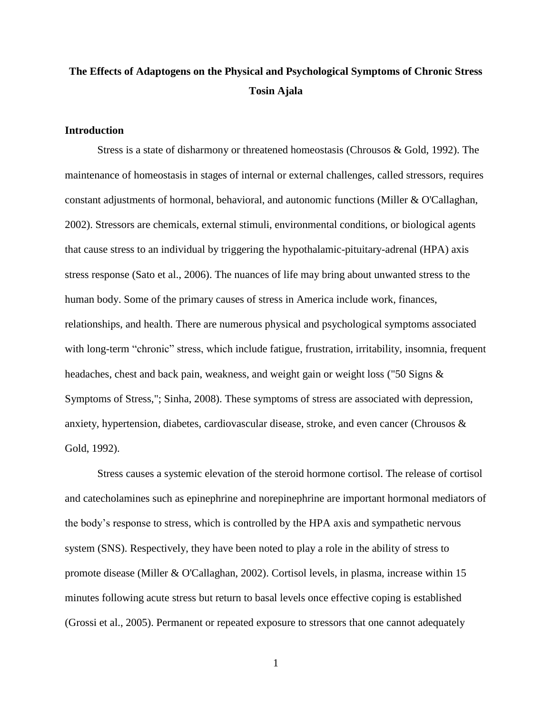# **The Effects of Adaptogens on the Physical and Psychological Symptoms of Chronic Stress Tosin Ajala**

### **Introduction**

Stress is a state of disharmony or threatened homeostasis (Chrousos & Gold, 1992). The maintenance of homeostasis in stages of internal or external challenges, called stressors, requires constant adjustments of hormonal, behavioral, and autonomic functions (Miller & O'Callaghan, 2002). Stressors are chemicals, external stimuli, environmental conditions, or biological agents that cause stress to an individual by triggering the hypothalamic-pituitary-adrenal (HPA) axis stress response (Sato et al., 2006). The nuances of life may bring about unwanted stress to the human body. Some of the primary causes of stress in America include work, finances, relationships, and health. There are numerous physical and psychological symptoms associated with long-term "chronic" stress, which include fatigue, frustration, irritability, insomnia, frequent headaches, chest and back pain, weakness, and weight gain or weight loss ("50 Signs & Symptoms of Stress,"; Sinha, 2008). These symptoms of stress are associated with depression, anxiety, hypertension, diabetes, cardiovascular disease, stroke, and even cancer (Chrousos & Gold, 1992).

Stress causes a systemic elevation of the steroid hormone cortisol. The release of cortisol and catecholamines such as epinephrine and norepinephrine are important hormonal mediators of the body's response to stress, which is controlled by the HPA axis and sympathetic nervous system (SNS). Respectively, they have been noted to play a role in the ability of stress to promote disease (Miller & O'Callaghan, 2002). Cortisol levels, in plasma, increase within 15 minutes following acute stress but return to basal levels once effective coping is established (Grossi et al., 2005). Permanent or repeated exposure to stressors that one cannot adequately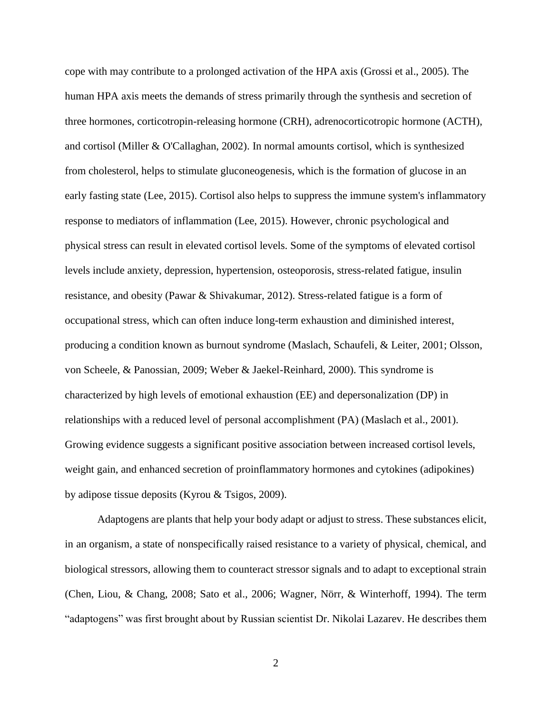cope with may contribute to a prolonged activation of the HPA axis (Grossi et al., 2005). The human HPA axis meets the demands of stress primarily through the synthesis and secretion of three hormones, corticotropin-releasing hormone (CRH), adrenocorticotropic hormone (ACTH), and cortisol (Miller & O'Callaghan, 2002). In normal amounts cortisol, which is synthesized from cholesterol, helps to stimulate gluconeogenesis, which is the formation of glucose in an early fasting state (Lee, 2015). Cortisol also helps to suppress the immune system's inflammatory response to mediators of inflammation (Lee, 2015). However, chronic psychological and physical stress can result in elevated cortisol levels. Some of the symptoms of elevated cortisol levels include anxiety, depression, hypertension, osteoporosis, stress-related fatigue, insulin resistance, and obesity (Pawar & Shivakumar, 2012). Stress-related fatigue is a form of occupational stress, which can often induce long-term exhaustion and diminished interest, producing a condition known as burnout syndrome (Maslach, Schaufeli, & Leiter, 2001; Olsson, von Scheele, & Panossian, 2009; Weber & Jaekel-Reinhard, 2000). This syndrome is characterized by high levels of emotional exhaustion (EE) and depersonalization (DP) in relationships with a reduced level of personal accomplishment (PA) (Maslach et al., 2001). Growing evidence suggests a significant positive association between increased cortisol levels, weight gain, and enhanced secretion of proinflammatory hormones and cytokines (adipokines) by adipose tissue deposits (Kyrou & Tsigos, 2009).

Adaptogens are plants that help your body adapt or adjust to stress. These substances elicit, in an organism, a state of nonspecifically raised resistance to a variety of physical, chemical, and biological stressors, allowing them to counteract stressor signals and to adapt to exceptional strain (Chen, Liou, & Chang, 2008; Sato et al., 2006; Wagner, Nörr, & Winterhoff, 1994). The term "adaptogens" was first brought about by Russian scientist Dr. Nikolai Lazarev. He describes them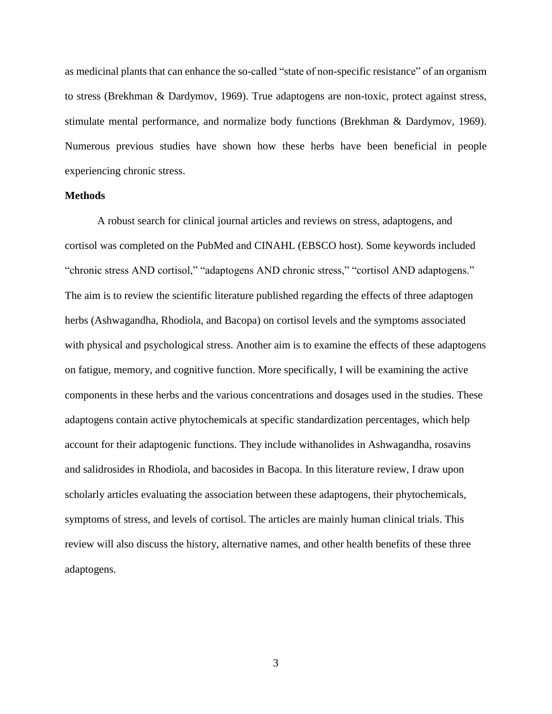as medicinal plants that can enhance the so-called "state of non-specific resistance" of an organism to stress (Brekhman & Dardymov, 1969). True adaptogens are non-toxic, protect against stress, stimulate mental performance, and normalize body functions (Brekhman & Dardymov, 1969). Numerous previous studies have shown how these herbs have been beneficial in people experiencing chronic stress.

#### **Methods**

A robust search for clinical journal articles and reviews on stress, adaptogens, and cortisol was completed on the PubMed and CINAHL (EBSCO host). Some keywords included "chronic stress AND cortisol," "adaptogens AND chronic stress," "cortisol AND adaptogens." The aim is to review the scientific literature published regarding the effects of three adaptogen herbs (Ashwagandha, Rhodiola, and Bacopa) on cortisol levels and the symptoms associated with physical and psychological stress. Another aim is to examine the effects of these adaptogens on fatigue, memory, and cognitive function. More specifically, I will be examining the active components in these herbs and the various concentrations and dosages used in the studies. These adaptogens contain active phytochemicals at specific standardization percentages, which help account for their adaptogenic functions. They include withanolides in Ashwagandha, rosavins and salidrosides in Rhodiola, and bacosides in Bacopa. In this literature review, I draw upon scholarly articles evaluating the association between these adaptogens, their phytochemicals, symptoms of stress, and levels of cortisol. The articles are mainly human clinical trials. This review will also discuss the history, alternative names, and other health benefits of these three adaptogens.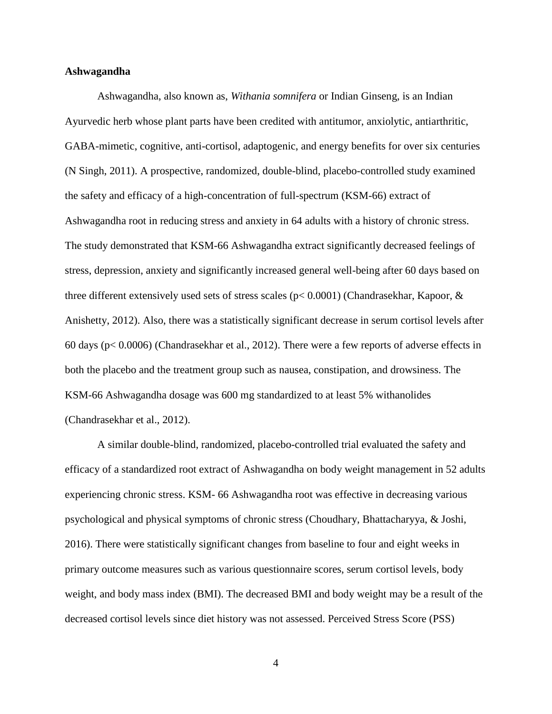#### **Ashwagandha**

Ashwagandha, also known as, *Withania somnifera* or Indian Ginseng, is an Indian Ayurvedic herb whose plant parts have been credited with antitumor, anxiolytic, antiarthritic, GABA-mimetic, cognitive, anti-cortisol, adaptogenic, and energy benefits for over six centuries (N Singh, 2011). A prospective, randomized, double-blind, placebo-controlled study examined the safety and efficacy of a high-concentration of full-spectrum (KSM-66) extract of Ashwagandha root in reducing stress and anxiety in 64 adults with a history of chronic stress. The study demonstrated that KSM-66 Ashwagandha extract significantly decreased feelings of stress, depression, anxiety and significantly increased general well-being after 60 days based on three different extensively used sets of stress scales ( $p < 0.0001$ ) (Chandrasekhar, Kapoor, & Anishetty, 2012). Also, there was a statistically significant decrease in serum cortisol levels after 60 days (p< 0.0006) (Chandrasekhar et al., 2012). There were a few reports of adverse effects in both the placebo and the treatment group such as nausea, constipation, and drowsiness. The KSM-66 Ashwagandha dosage was 600 mg standardized to at least 5% withanolides (Chandrasekhar et al., 2012).

A similar double-blind, randomized, placebo-controlled trial evaluated the safety and efficacy of a standardized root extract of Ashwagandha on body weight management in 52 adults experiencing chronic stress. KSM- 66 Ashwagandha root was effective in decreasing various psychological and physical symptoms of chronic stress (Choudhary, Bhattacharyya, & Joshi, 2016). There were statistically significant changes from baseline to four and eight weeks in primary outcome measures such as various questionnaire scores, serum cortisol levels, body weight, and body mass index (BMI). The decreased BMI and body weight may be a result of the decreased cortisol levels since diet history was not assessed. Perceived Stress Score (PSS)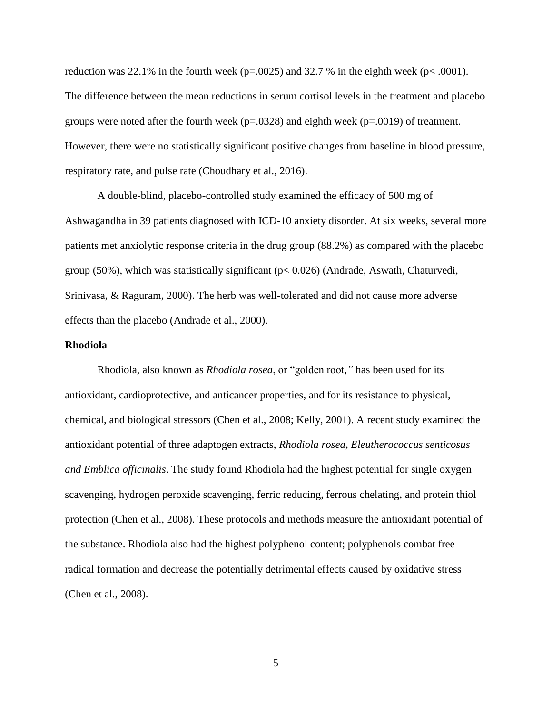reduction was 22.1% in the fourth week ( $p=0.0025$ ) and 32.7% in the eighth week ( $p<0.001$ ). The difference between the mean reductions in serum cortisol levels in the treatment and placebo groups were noted after the fourth week ( $p=.0328$ ) and eighth week ( $p=.0019$ ) of treatment. However, there were no statistically significant positive changes from baseline in blood pressure, respiratory rate, and pulse rate (Choudhary et al., 2016).

A double-blind, placebo-controlled study examined the efficacy of 500 mg of Ashwagandha in 39 patients diagnosed with ICD-10 anxiety disorder. At six weeks, several more patients met anxiolytic response criteria in the drug group (88.2%) as compared with the placebo group (50%), which was statistically significant ( $p < 0.026$ ) (Andrade, Aswath, Chaturvedi, Srinivasa, & Raguram, 2000). The herb was well-tolerated and did not cause more adverse effects than the placebo (Andrade et al., 2000).

#### **Rhodiola**

Rhodiola, also known as *Rhodiola rosea*, or "golden root,*"* has been used for its antioxidant, cardioprotective, and anticancer properties, and for its resistance to physical, chemical, and biological stressors (Chen et al., 2008; Kelly, 2001). A recent study examined the antioxidant potential of three adaptogen extracts, *Rhodiola rosea, Eleutherococcus senticosus and Emblica officinalis*. The study found Rhodiola had the highest potential for single oxygen scavenging, hydrogen peroxide scavenging, ferric reducing, ferrous chelating, and protein thiol protection (Chen et al., 2008). These protocols and methods measure the antioxidant potential of the substance. Rhodiola also had the highest polyphenol content; polyphenols combat free radical formation and decrease the potentially detrimental effects caused by oxidative stress (Chen et al., 2008).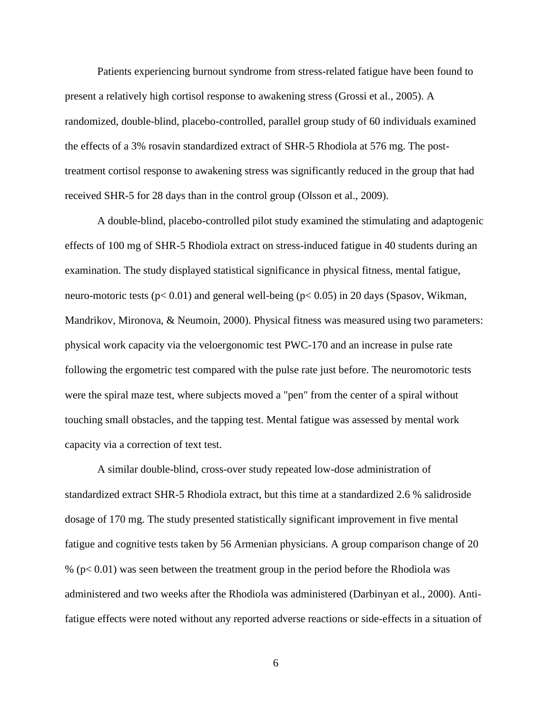Patients experiencing burnout syndrome from stress-related fatigue have been found to present a relatively high cortisol response to awakening stress (Grossi et al., 2005). A randomized, double-blind, placebo-controlled, parallel group study of 60 individuals examined the effects of a 3% rosavin standardized extract of SHR-5 Rhodiola at 576 mg. The posttreatment cortisol response to awakening stress was significantly reduced in the group that had received SHR-5 for 28 days than in the control group (Olsson et al., 2009).

A double-blind, placebo-controlled pilot study examined the stimulating and adaptogenic effects of 100 mg of SHR-5 Rhodiola extract on stress-induced fatigue in 40 students during an examination. The study displayed statistical significance in physical fitness, mental fatigue, neuro-motoric tests (p< 0.01) and general well-being (p< 0.05) in 20 days (Spasov, Wikman, Mandrikov, Mironova, & Neumoin, 2000). Physical fitness was measured using two parameters: physical work capacity via the veloergonomic test PWC-170 and an increase in pulse rate following the ergometric test compared with the pulse rate just before. The neuromotoric tests were the spiral maze test, where subjects moved a "pen" from the center of a spiral without touching small obstacles, and the tapping test. Mental fatigue was assessed by mental work capacity via a correction of text test.

A similar double-blind, cross-over study repeated low-dose administration of standardized extract SHR-5 Rhodiola extract, but this time at a standardized 2.6 % salidroside dosage of 170 mg. The study presented statistically significant improvement in five mental fatigue and cognitive tests taken by 56 Armenian physicians. A group comparison change of 20 % (p< 0.01) was seen between the treatment group in the period before the Rhodiola was administered and two weeks after the Rhodiola was administered (Darbinyan et al., 2000). Antifatigue effects were noted without any reported adverse reactions or side-effects in a situation of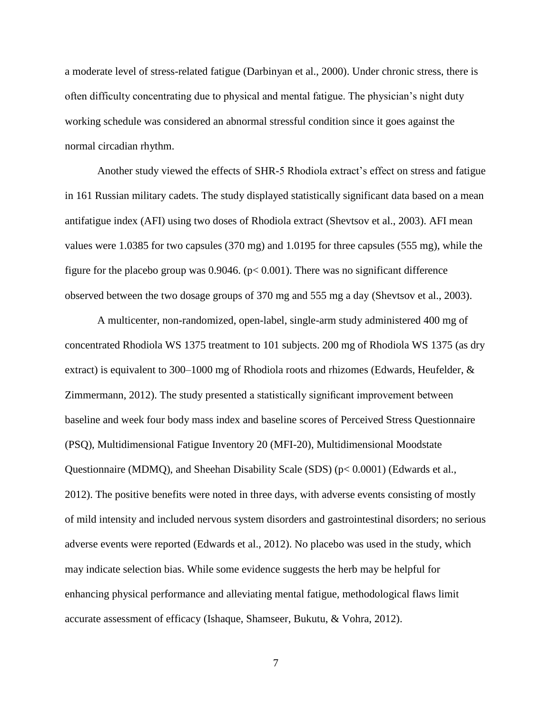a moderate level of stress-related fatigue (Darbinyan et al., 2000). Under chronic stress, there is often difficulty concentrating due to physical and mental fatigue. The physician's night duty working schedule was considered an abnormal stressful condition since it goes against the normal circadian rhythm.

Another study viewed the effects of SHR-5 Rhodiola extract's effect on stress and fatigue in 161 Russian military cadets. The study displayed statistically significant data based on a mean antifatigue index (AFI) using two doses of Rhodiola extract (Shevtsov et al., 2003). AFI mean values were 1.0385 for two capsules (370 mg) and 1.0195 for three capsules (555 mg), while the figure for the placebo group was  $0.9046$ . ( $p < 0.001$ ). There was no significant difference observed between the two dosage groups of 370 mg and 555 mg a day (Shevtsov et al., 2003).

A multicenter, non-randomized, open-label, single-arm study administered 400 mg of concentrated Rhodiola WS 1375 treatment to 101 subjects. 200 mg of Rhodiola WS 1375 (as dry extract) is equivalent to 300–1000 mg of Rhodiola roots and rhizomes (Edwards, Heufelder, & Zimmermann, 2012). The study presented a statistically significant improvement between baseline and week four body mass index and baseline scores of Perceived Stress Questionnaire (PSQ), Multidimensional Fatigue Inventory 20 (MFI-20), Multidimensional Moodstate Questionnaire (MDMQ), and Sheehan Disability Scale (SDS) (p< 0.0001) (Edwards et al., 2012). The positive benefits were noted in three days, with adverse events consisting of mostly of mild intensity and included nervous system disorders and gastrointestinal disorders; no serious adverse events were reported (Edwards et al., 2012). No placebo was used in the study, which may indicate selection bias. While some evidence suggests the herb may be helpful for enhancing physical performance and alleviating mental fatigue, methodological flaws limit accurate assessment of efficacy (Ishaque, Shamseer, Bukutu, & Vohra, 2012).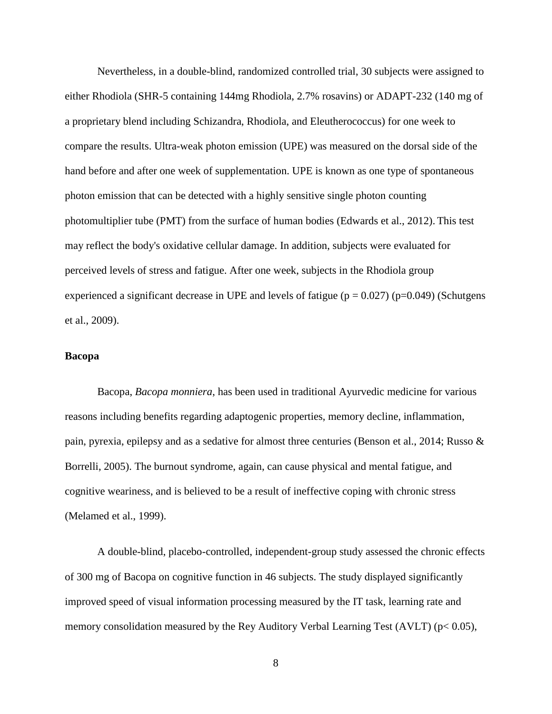Nevertheless, in a double-blind, randomized controlled trial, 30 subjects were assigned to either Rhodiola (SHR-5 containing 144mg Rhodiola, 2.7% rosavins) or ADAPT-232 (140 mg of a proprietary blend including Schizandra, Rhodiola, and Eleutherococcus) for one week to compare the results. Ultra-weak photon emission (UPE) was measured on the dorsal side of the hand before and after one week of supplementation. UPE is known as one type of spontaneous photon emission that can be detected with a highly sensitive single photon counting photomultiplier tube (PMT) from the surface of human bodies (Edwards et al., 2012). This test may reflect the body's oxidative cellular damage. In addition, subjects were evaluated for perceived levels of stress and fatigue. After one week, subjects in the Rhodiola group experienced a significant decrease in UPE and levels of fatigue ( $p = 0.027$ ) ( $p = 0.049$ ) (Schutgens et al., 2009).

## **Bacopa**

Bacopa, *Bacopa monniera*, has been used in traditional Ayurvedic medicine for various reasons including benefits regarding adaptogenic properties, memory decline, inflammation, pain, pyrexia, epilepsy and as a sedative for almost three centuries (Benson et al., 2014; Russo & Borrelli, 2005). The burnout syndrome, again, can cause physical and mental fatigue, and cognitive weariness, and is believed to be a result of ineffective coping with chronic stress (Melamed et al., 1999).

A double-blind, placebo-controlled, independent-group study assessed the chronic effects of 300 mg of Bacopa on cognitive function in 46 subjects. The study displayed significantly improved speed of visual information processing measured by the IT task, learning rate and memory consolidation measured by the Rey Auditory Verbal Learning Test (AVLT) ( $p$ < 0.05),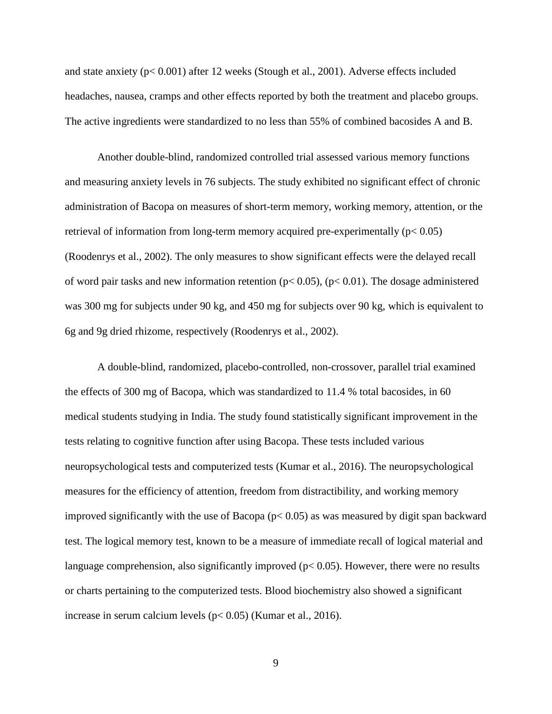and state anxiety (p< 0.001) after 12 weeks (Stough et al., 2001). Adverse effects included headaches, nausea, cramps and other effects reported by both the treatment and placebo groups. The active ingredients were standardized to no less than 55% of combined bacosides A and B.

Another double-blind, randomized controlled trial assessed various memory functions and measuring anxiety levels in 76 subjects. The study exhibited no significant effect of chronic administration of Bacopa on measures of short-term memory, working memory, attention, or the retrieval of information from long-term memory acquired pre-experimentally  $(p< 0.05)$ (Roodenrys et al., 2002). The only measures to show significant effects were the delayed recall of word pair tasks and new information retention ( $p < 0.05$ ), ( $p < 0.01$ ). The dosage administered was 300 mg for subjects under 90 kg, and 450 mg for subjects over 90 kg, which is equivalent to 6g and 9g dried rhizome, respectively (Roodenrys et al., 2002).

A double-blind, randomized, placebo-controlled, non-crossover, parallel trial examined the effects of 300 mg of Bacopa, which was standardized to 11.4 % total bacosides, in 60 medical students studying in India. The study found statistically significant improvement in the tests relating to cognitive function after using Bacopa. These tests included various neuropsychological tests and computerized tests (Kumar et al., 2016). The neuropsychological measures for the efficiency of attention, freedom from distractibility, and working memory improved significantly with the use of Bacopa ( $p$ < 0.05) as was measured by digit span backward test. The logical memory test, known to be a measure of immediate recall of logical material and language comprehension, also significantly improved ( $p < 0.05$ ). However, there were no results or charts pertaining to the computerized tests. Blood biochemistry also showed a significant increase in serum calcium levels (p< 0.05) (Kumar et al., 2016).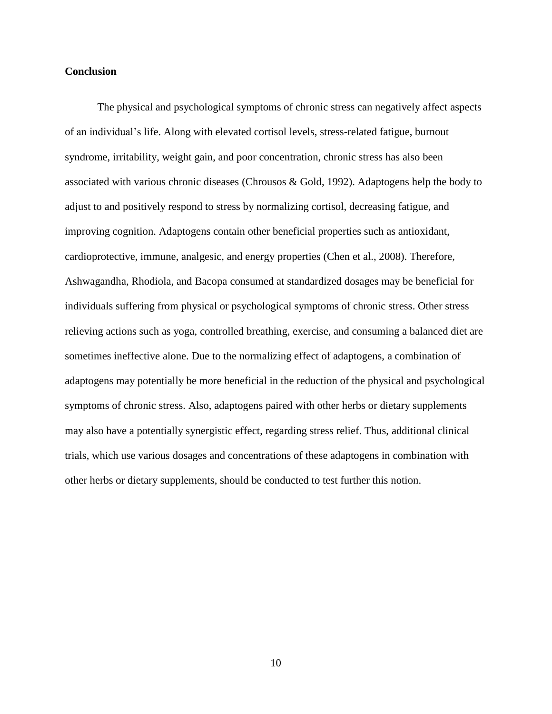#### **Conclusion**

The physical and psychological symptoms of chronic stress can negatively affect aspects of an individual's life. Along with elevated cortisol levels, stress-related fatigue, burnout syndrome, irritability, weight gain, and poor concentration, chronic stress has also been associated with various chronic diseases (Chrousos & Gold, 1992). Adaptogens help the body to adjust to and positively respond to stress by normalizing cortisol, decreasing fatigue, and improving cognition. Adaptogens contain other beneficial properties such as antioxidant, cardioprotective, immune, analgesic, and energy properties (Chen et al., 2008). Therefore, Ashwagandha, Rhodiola, and Bacopa consumed at standardized dosages may be beneficial for individuals suffering from physical or psychological symptoms of chronic stress. Other stress relieving actions such as yoga, controlled breathing, exercise, and consuming a balanced diet are sometimes ineffective alone. Due to the normalizing effect of adaptogens, a combination of adaptogens may potentially be more beneficial in the reduction of the physical and psychological symptoms of chronic stress. Also, adaptogens paired with other herbs or dietary supplements may also have a potentially synergistic effect, regarding stress relief. Thus, additional clinical trials, which use various dosages and concentrations of these adaptogens in combination with other herbs or dietary supplements, should be conducted to test further this notion.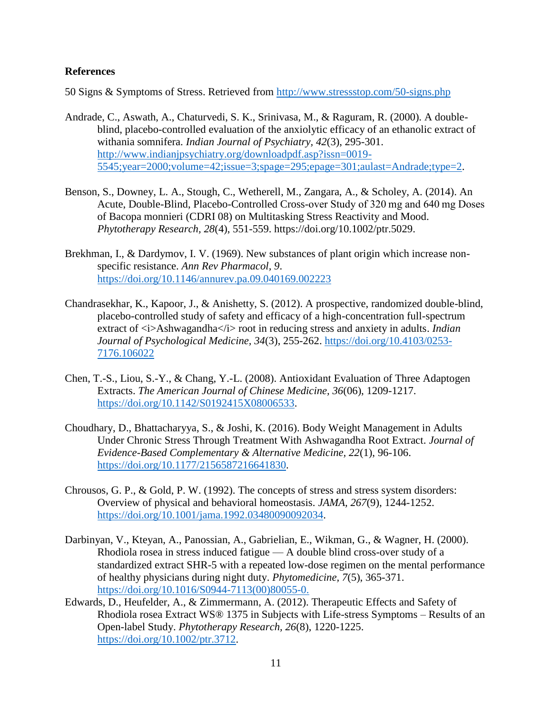### **References**

50 Signs & Symptoms of Stress. Retrieved from<http://www.stressstop.com/50-signs.php>

- Andrade, C., Aswath, A., Chaturvedi, S. K., Srinivasa, M., & Raguram, R. (2000). A doubleblind, placebo-controlled evaluation of the anxiolytic efficacy of an ethanolic extract of withania somnifera. *Indian Journal of Psychiatry, 42*(3), 295-301. [http://www.indianjpsychiatry.org/downloadpdf.asp?issn=0019-](http://www.indianjpsychiatry.org/downloadpdf.asp?issn=0019-5545;year=2000;volume=42;issue=3;spage=295;epage=301;aulast=Andrade;type=2) [5545;year=2000;volume=42;issue=3;spage=295;epage=301;aulast=Andrade;type=2.](http://www.indianjpsychiatry.org/downloadpdf.asp?issn=0019-5545;year=2000;volume=42;issue=3;spage=295;epage=301;aulast=Andrade;type=2)
- Benson, S., Downey, L. A., Stough, C., Wetherell, M., Zangara, A., & Scholey, A. (2014). An Acute, Double-Blind, Placebo-Controlled Cross-over Study of 320 mg and 640 mg Doses of Bacopa monnieri (CDRI 08) on Multitasking Stress Reactivity and Mood. *Phytotherapy Research, 28*(4), 551-559. https://doi.org/10.1002/ptr.5029.
- Brekhman, I., & Dardymov, I. V. (1969). New substances of plant origin which increase nonspecific resistance. *Ann Rev Pharmacol, 9*. <https://doi.org/10.1146/annurev.pa.09.040169.002223>
- Chandrasekhar, K., Kapoor, J., & Anishetty, S. (2012). A prospective, randomized double-blind, placebo-controlled study of safety and efficacy of a high-concentration full-spectrum extract of  $\langle i \rangle$ Ashwagandha $\langle i \rangle$  root in reducing stress and anxiety in adults. *Indian Journal of Psychological Medicine, 34*(3), 255-262. [https://doi.org/10.4103/0253-](https://doi.org/10.4103/0253-7176.106022) [7176.106022](https://doi.org/10.4103/0253-7176.106022)
- Chen, T.-S., Liou, S.-Y., & Chang, Y.-L. (2008). Antioxidant Evaluation of Three Adaptogen Extracts. *The American Journal of Chinese Medicine, 36*(06), 1209-1217. [https://doi.org/10.1142/S0192415X08006533.](https://doi.org/10.1142/S0192415X08006533)
- Choudhary, D., Bhattacharyya, S., & Joshi, K. (2016). Body Weight Management in Adults Under Chronic Stress Through Treatment With Ashwagandha Root Extract. *Journal of Evidence-Based Complementary & Alternative Medicine, 22*(1), 96-106. [https://doi.org/10.1177/2156587216641830.](https://doi.org/10.1177/2156587216641830)
- Chrousos, G. P., & Gold, P. W. (1992). The concepts of stress and stress system disorders: Overview of physical and behavioral homeostasis. *JAMA, 267*(9), 1244-1252. [https://doi.org/10.1001/jama.1992.03480090092034.](https://doi.org/10.1001/jama.1992.03480090092034)
- Darbinyan, V., Kteyan, A., Panossian, A., Gabrielian, E., Wikman, G., & Wagner, H. (2000). Rhodiola rosea in stress induced fatigue — A double blind cross-over study of a standardized extract SHR-5 with a repeated low-dose regimen on the mental performance of healthy physicians during night duty. *Phytomedicine, 7*(5), 365-371. [https://doi.org/10.1016/S0944-7113\(00\)80055-0.](https://doi.org/10.1016/S0944-7113(00)80055-0)
- Edwards, D., Heufelder, A., & Zimmermann, A. (2012). Therapeutic Effects and Safety of Rhodiola rosea Extract WS® 1375 in Subjects with Life-stress Symptoms – Results of an Open-label Study. *Phytotherapy Research, 26*(8), 1220-1225. [https://doi.org/10.1002/ptr.3712.](https://doi.org/10.1002/ptr.3712)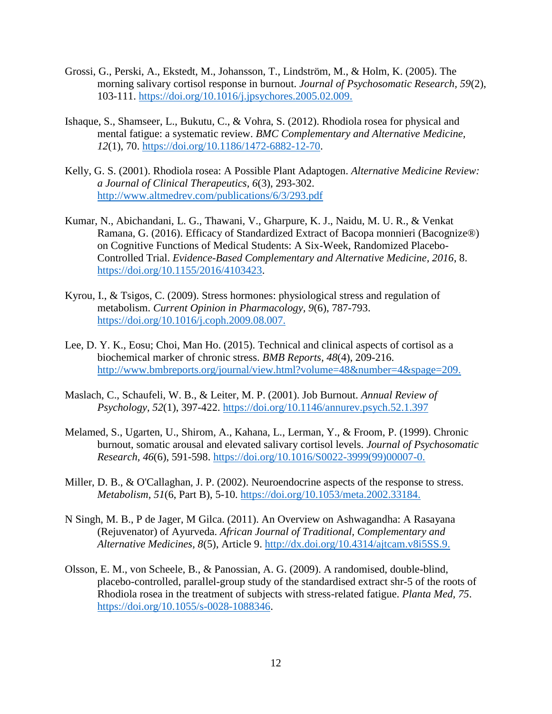- Grossi, G., Perski, A., Ekstedt, M., Johansson, T., Lindström, M., & Holm, K. (2005). The morning salivary cortisol response in burnout. *Journal of Psychosomatic Research, 59*(2), 103-111. [https://doi.org/10.1016/j.jpsychores.2005.02.009.](https://doi.org/10.1016/j.jpsychores.2005.02.009)
- Ishaque, S., Shamseer, L., Bukutu, C., & Vohra, S. (2012). Rhodiola rosea for physical and mental fatigue: a systematic review. *BMC Complementary and Alternative Medicine, 12*(1), 70. [https://doi.org/10.1186/1472-6882-12-70.](https://doi.org/10.1186/1472-6882-12-70)
- Kelly, G. S. (2001). Rhodiola rosea: A Possible Plant Adaptogen. *Alternative Medicine Review: a Journal of Clinical Therapeutics, 6*(3), 293-302. <http://www.altmedrev.com/publications/6/3/293.pdf>
- Kumar, N., Abichandani, L. G., Thawani, V., Gharpure, K. J., Naidu, M. U. R., & Venkat Ramana, G. (2016). Efficacy of Standardized Extract of Bacopa monnieri (Bacognize®) on Cognitive Functions of Medical Students: A Six-Week, Randomized Placebo-Controlled Trial. *Evidence-Based Complementary and Alternative Medicine, 2016*, 8. [https://doi.org/10.1155/2016/4103423.](https://doi.org/10.1155/2016/4103423)
- Kyrou, I., & Tsigos, C. (2009). Stress hormones: physiological stress and regulation of metabolism. *Current Opinion in Pharmacology, 9*(6), 787-793. [https://doi.org/10.1016/j.coph.2009.08.007.](https://doi.org/10.1016/j.coph.2009.08.007)
- Lee, D. Y. K., Eosu; Choi, Man Ho. (2015). Technical and clinical aspects of cortisol as a biochemical marker of chronic stress. *BMB Reports, 48*(4), 209-216. <http://www.bmbreports.org/journal/view.html?volume=48&number=4&spage=209.>
- Maslach, C., Schaufeli, W. B., & Leiter, M. P. (2001). Job Burnout. *Annual Review of Psychology, 52*(1), 397-422.<https://doi.org/10.1146/annurev.psych.52.1.397>
- Melamed, S., Ugarten, U., Shirom, A., Kahana, L., Lerman, Y., & Froom, P. (1999). Chronic burnout, somatic arousal and elevated salivary cortisol levels. *Journal of Psychosomatic Research, 46*(6), 591-598. [https://doi.org/10.1016/S0022-3999\(99\)00007-0.](https://doi.org/10.1016/S0022-3999(99)00007-0)
- Miller, D. B., & O'Callaghan, J. P. (2002). Neuroendocrine aspects of the response to stress. *Metabolism, 51*(6, Part B), 5-10. [https://doi.org/10.1053/meta.2002.33184.](https://doi.org/10.1053/meta.2002.33184)
- N Singh, M. B., P de Jager, M Gilca. (2011). An Overview on Ashwagandha: A Rasayana (Rejuvenator) of Ayurveda. *African Journal of Traditional, Complementary and Alternative Medicines, 8*(5), Article 9. [http://dx.doi.org/10.4314/ajtcam.v8i5SS.9.](http://dx.doi.org/10.4314/ajtcam.v8i5SS.9)
- Olsson, E. M., von Scheele, B., & Panossian, A. G. (2009). A randomised, double-blind, placebo-controlled, parallel-group study of the standardised extract shr-5 of the roots of Rhodiola rosea in the treatment of subjects with stress-related fatigue. *Planta Med, 75*. [https://doi.org/10.1055/s-0028-1088346.](https://doi.org/10.1055/s-0028-1088346)